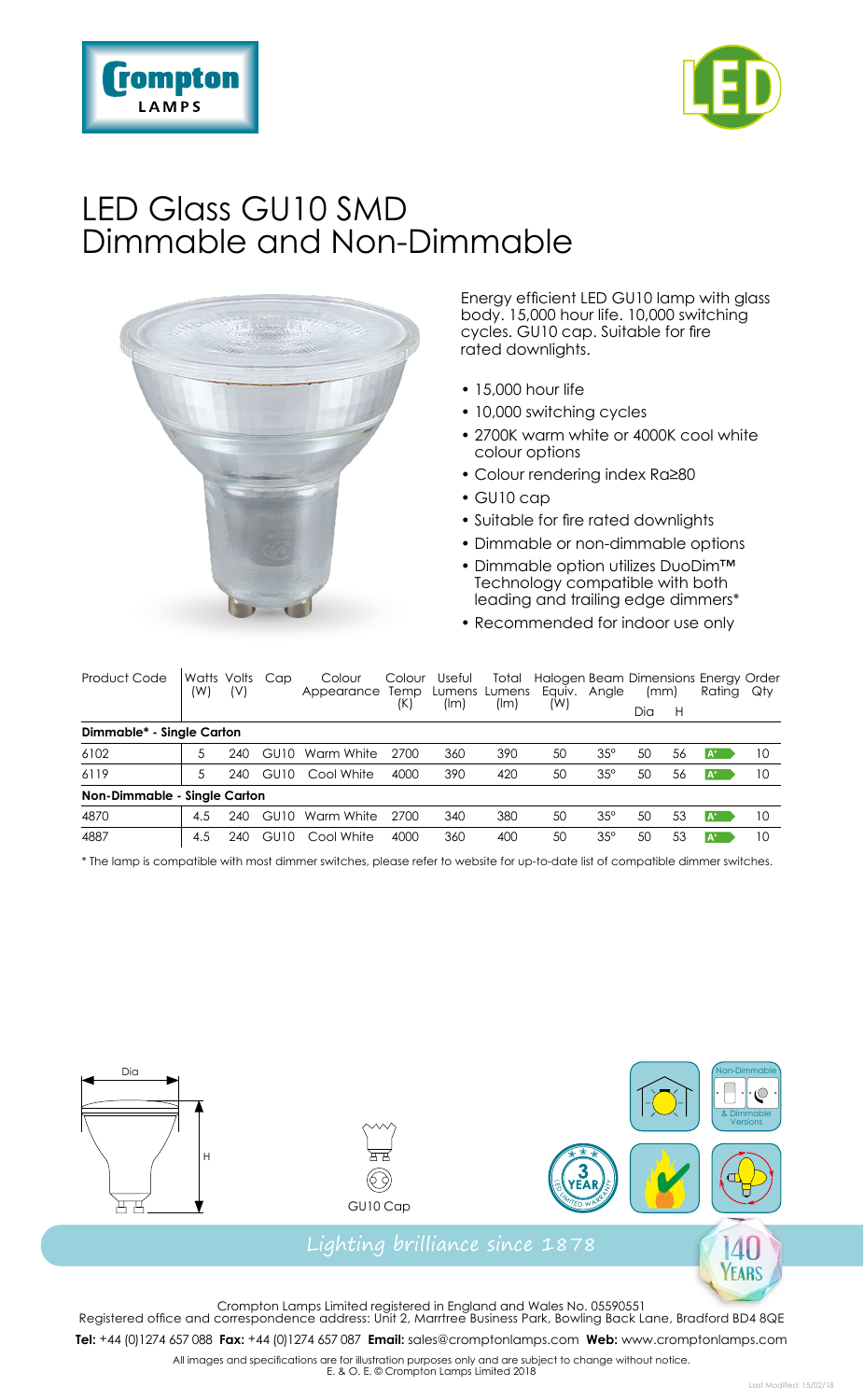



## LED Glass GU10 SMD Dimmable and Non-Dimmable



Energy efficient LED GU10 lamp with glass body. 15,000 hour life. 10,000 switching cycles. GU10 cap. Suitable for fire rated downlights.

- 15,000 hour life
- 10,000 switching cycles
- 2700K warm white or 4000K cool white colour options
- Colour rendering index Ra≥80
- GU10 cap
- Suitable for fire rated downlights
- Dimmable or non-dimmable options
- Dimmable option utilizes DuoDim™ Technology compatible with both leading and trailing edge dimmers\*
- Recommended for indoor use only

| Product Code                 | Watts Volts Cap<br>(W) | (V) |      | Colour<br>Appearance | Colour<br>Temp<br>(K) | Useful<br>(lm) | Total<br>Lumens Lumens<br>(lm) | Equiv. Angle<br>(W) |            | Halogen Beam Dimensions Energy Order<br>(mm) |    | Rating Qty |    |
|------------------------------|------------------------|-----|------|----------------------|-----------------------|----------------|--------------------------------|---------------------|------------|----------------------------------------------|----|------------|----|
|                              |                        |     |      |                      |                       |                |                                |                     |            | Dia                                          | H  |            |    |
| Dimmable* - Single Carton    |                        |     |      |                      |                       |                |                                |                     |            |                                              |    |            |    |
| 6102                         |                        | 240 | GU10 | Warm White           | 2700                  | 360            | 390                            | 50                  | $35^\circ$ | 50                                           | 56 | A*         | 10 |
| 6119                         | 5.                     | 240 | GU10 | Cool White           | 4000                  | 390            | 420                            | 50                  | $35^\circ$ | 50                                           | 56 | $A^+$      | 10 |
| Non-Dimmable - Single Carton |                        |     |      |                      |                       |                |                                |                     |            |                                              |    |            |    |
| 4870                         | 4.5                    | 240 | GU10 | Warm White           | 2700                  | 340            | 380                            | 50                  | $35^\circ$ | 50                                           | 53 | $A^*$      | 10 |
| 4887                         | 4.5                    | 240 | GU10 | Cool White           | 4000                  | 360            | 400                            | 50                  | $35^\circ$ | 50                                           | 53 | $A^*$      | 10 |

\* The lamp is compatible with most dimmer switches, please refer to website for up-to-date list of compatible dimmer switches.







Crompton Lamps Limited registered in England and Wales No. 05590551 Registered office and correspondence address: Unit 2, Marrtree Business Park, Bowling Back Lane, Bradford BD4 8QE **Tel:** +44 (0)1274 657 088 **Fax:** +44 (0)1274 657 087 **Email:** sales@cromptonlamps.com **Web:** www.cromptonlamps.com

All images and specifications are for illustration purposes only and are subject to change without notice. E. & O. E. © Crompton Lamps Limited 2018

Non-Dimmable

**EARS**